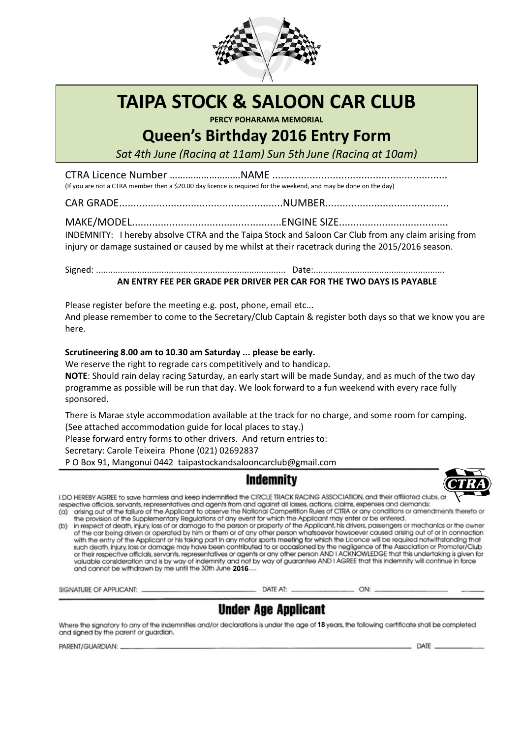

# **TAIPA STOCK & SALOON CAR CLUB**

PERCY POHARAMA MEMORIAL

## **Queen's Birthday 2016 Entry Form**

Sat 4th June (Racina at 11am) Sun 5th June (Racina at 10am)

(If you are not a CTRA member then a \$20.00 day licence is required for the weekend, and may be done on the day)

INDEMNITY: I hereby absolve CTRA and the Taipa Stock and Saloon Car Club from any claim arising from

injury or damage sustained or caused by me whilst at their racetrack during the 2015/2016 season.

### AN ENTRY FEE PER GRADE PER DRIVER PER CAR FOR THE TWO DAYS IS PAYABLE

Please register before the meeting e.g. post, phone, email etc...

And please remember to come to the Secretary/Club Captain & register both days so that we know you are here.

### Scrutineering 8.00 am to 10.30 am Saturday ... please be early.

We reserve the right to regrade cars competitively and to handicap.

NOTE: Should rain delay racing Saturday, an early start will be made Sunday, and as much of the two day programme as possible will be run that day. We look forward to a fun weekend with every race fully sponsored.

There is Marae style accommodation available at the track for no charge, and some room for camping. (See attached accommodation guide for local places to stay.)

Please forward entry forms to other drivers. And return entries to:

Secretary: Carole Teixeira Phone (021) 02692837

PO Box 91, Mangonui 0442 taipastockandsalooncarclub@gmail.com





I DO HEREBY AGREE to save harmless and keep indemnified the CIRCLE TRACK RACING ASSOCIATION, and their affiliated clubs, ar respective officials, servants, representatives and agents from and against all losses, actions, claims, expenses and demands:

(a) arising out of the failure of the Applicant to observe the National Competition Rules of CTRA or any conditions or amendments thereto or the provision of the Supplementary Regulations of any event for which the Applicant may enter or be entered.

(b) in respect of death, injury, loss of or damage to the person or properly of the Applicant, his drivers, passengers or mechanics or the owner of the car being driven or operated by him or them or of any other person whatsoever howsoever caused arising out of or in connection with the entry of the Applicant or his taking part in any motor sports meeting for which the Licence will be required notwithstanding that such death, injury, loss or damage may have been contributed to or occasioned by the negligence of the Association or Promoter/Club or their respective officials, servants, representatives or agents or any other person AND I ACKNOWLEDGE that this undertaking is given for valuable consideration and is by way of indemnity and not by way of guarantee AND and cannot be withdrawn by me until the 30th June 2016....

SIGNATURE OF APPLICANT: ..

DATE AT: \_

 $-$  ON:  $-$ 

### **Under Age Applicant**

Where the signatory to any of the indemnities and/or declarations is under the age of 18 years, the following certificate shall be completed and signed by the parent or guardian.

PARENT/GUARDIAN:

 $-$  DATE  $-$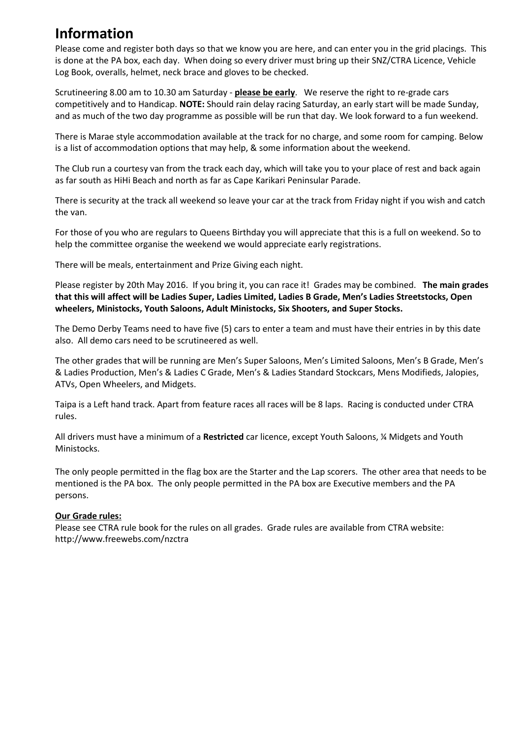# **Information**

Please come and register both days so that we know you are here, and can enter you in the grid placings. This is done at the PA box, each day. When doing so every driver must bring up their SNZ/CTRA Licence, Vehicle Log Book, overalls, helmet, neck brace and gloves to be checked.

Scrutineering 8.00 am to 10.30 am Saturday - **please be early**. We reserve the right to re-grade cars competitively and to Handicap. **NOTE:** Should rain delay racing Saturday, an early start will be made Sunday, and as much of the two day programme as possible will be run that day. We look forward to a fun weekend.

There is Marae style accommodation available at the track for no charge, and some room for camping. Below is a list of accommodation options that may help, & some information about the weekend.

The Club run a courtesy van from the track each day, which will take you to your place of rest and back again as far south as HiHi Beach and north as far as Cape Karikari Peninsular Parade.

There is security at the track all weekend so leave your car at the track from Friday night if you wish and catch the van.

For those of you who are regulars to Queens Birthday you will appreciate that this is a full on weekend. So to help the committee organise the weekend we would appreciate early registrations.

There will be meals, entertainment and Prize Giving each night.

Please register by 20th May 2016. If you bring it, you can race it! Grades may be combined. **The main grades that this will affect will be Ladies Super, Ladies Limited, Ladies B Grade, Men's Ladies Streetstocks, Open wheelers, Ministocks, Youth Saloons, Adult Ministocks, Six Shooters, and Super Stocks.** 

The Demo Derby Teams need to have five (5) cars to enter a team and must have their entries in by this date also. All demo cars need to be scrutineered as well.

The other grades that will be running are Men's Super Saloons, Men's Limited Saloons, Men's B Grade, Men's & Ladies Production, Men's & Ladies C Grade, Men's & Ladies Standard Stockcars, Mens Modifieds, Jalopies, ATVs, Open Wheelers, and Midgets.

Taipa is a Left hand track. Apart from feature races all races will be 8 laps. Racing is conducted under CTRA rules.

All drivers must have a minimum of a **Restricted** car licence, except Youth Saloons, ¼ Midgets and Youth Ministocks.

The only people permitted in the flag box are the Starter and the Lap scorers. The other area that needs to be mentioned is the PA box. The only people permitted in the PA box are Executive members and the PA persons.

#### **Our Grade rules:**

Please see CTRA rule book for the rules on all grades. Grade rules are available from CTRA website: http://www.freewebs.com/nzctra